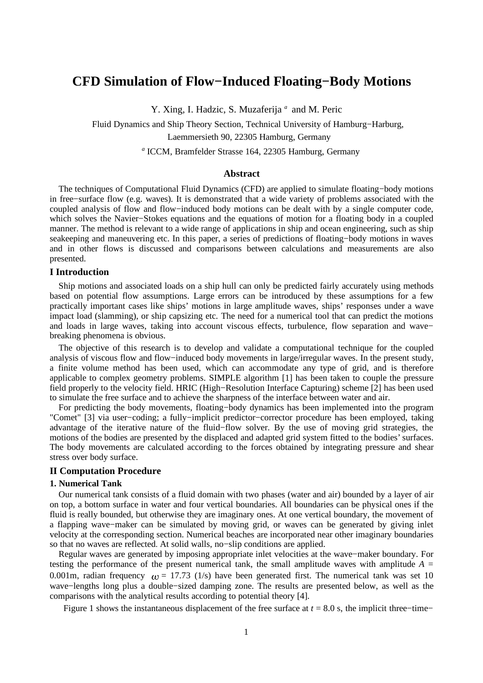# **CFD Simulation of Flow−Induced Floating−Body Motions**

Y. Xing, I. Hadzic, S. Muzaferija<sup>a</sup> and M. Peric

Fluid Dynamics and Ship Theory Section, Technical University of Hamburg−Harburg, Laemmersieth 90, 22305 Hamburg, Germany

*a* ICCM, Bramfelder Strasse 164, 22305 Hamburg, Germany

### **Abstract**

The techniques of Computational Fluid Dynamics (CFD) are applied to simulate floating−body motions in free−surface flow (e.g. waves). It is demonstrated that a wide variety of problems associated with the coupled analysis of flow and flow−induced body motions can be dealt with by a single computer code, which solves the Navier−Stokes equations and the equations of motion for a floating body in a coupled manner. The method is relevant to a wide range of applications in ship and ocean engineering, such as ship seakeeping and maneuvering etc. In this paper, a series of predictions of floating−body motions in waves and in other flows is discussed and comparisons between calculations and measurements are also presented.

## **I Introduction**

Ship motions and associated loads on a ship hull can only be predicted fairly accurately using methods based on potential flow assumptions. Large errors can be introduced by these assumptions for a few practically important cases like ships' motions in large amplitude waves, ships' responses under a wave impact load (slamming), or ship capsizing etc. The need for a numerical tool that can predict the motions and loads in large waves, taking into account viscous effects, turbulence, flow separation and wave− breaking phenomena is obvious.

The objective of this research is to develop and validate a computational technique for the coupled analysis of viscous flow and flow−induced body movements in large/irregular waves. In the present study, a finite volume method has been used, which can accommodate any type of grid, and is therefore applicable to complex geometry problems. SIMPLE algorithm [1] has been taken to couple the pressure field properly to the velocity field. HRIC (High−Resolution Interface Capturing) scheme [2] has been used to simulate the free surface and to achieve the sharpness of the interface between water and air.

For predicting the body movements, floating−body dynamics has been implemented into the program "Comet" [3] via user−coding; a fully−implicit predictor−corrector procedure has been employed, taking advantage of the iterative nature of the fluid−flow solver. By the use of moving grid strategies, the motions of the bodies are presented by the displaced and adapted grid system fitted to the bodies'surfaces. The body movements are calculated according to the forces obtained by integrating pressure and shear stress over body surface.

#### **II Computation Procedure**

#### **1. Numerical Tank**

Our numerical tank consists of a fluid domain with two phases (water and air) bounded by a layer of air on top, a bottom surface in water and four vertical boundaries. All boundaries can be physical ones if the fluid is really bounded, but otherwise they are imaginary ones. At one vertical boundary, the movement of a flapping wave−maker can be simulated by moving grid, or waves can be generated by giving inlet velocity at the corresponding section. Numerical beaches are incorporated near other imaginary boundaries so that no waves are reflected. At solid walls, no−slip conditions are applied.

Regular waves are generated by imposing appropriate inlet velocities at the wave−maker boundary. For testing the performance of the present numerical tank, the small amplitude waves with amplitude  $A =$ 0.001m, radian frequency  $\mu$  = 17.73 (1/s) have been generated first. The numerical tank was set 10 wave−lengths long plus a double−sized damping zone. The results are presented below, as well as the comparisons with the analytical results according to potential theory [4].

Figure 1 shows the instantaneous displacement of the free surface at *t* = 8.0 s, the implicit three−time−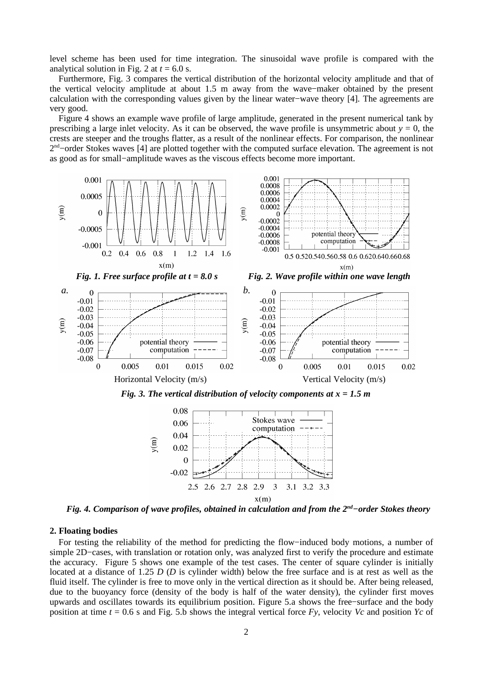level scheme has been used for time integration. The sinusoidal wave profile is compared with the analytical solution in Fig. 2 at  $t = 6.0$  s.

Furthermore, Fig. 3 compares the vertical distribution of the horizontal velocity amplitude and that of the vertical velocity amplitude at about 1.5 m away from the wave−maker obtained by the present calculation with the corresponding values given by the linear water−wave theory [4]. The agreements are very good.

Figure 4 shows an example wave profile of large amplitude, generated in the present numerical tank by prescribing a large inlet velocity. As it can be observed, the wave profile is unsymmetric about  $y = 0$ , the crests are steeper and the troughs flatter, as a result of the nonlinear effects. For comparison, the nonlinear 2<sup>nd</sup>–order Stokes waves [4] are plotted together with the computed surface elevation. The agreement is not as good as for small−amplitude waves as the viscous effects become more important.



 $x(m)$ 

*Fig. 4. Comparison of wave profiles, obtained in calculation and from the 2 nd−order Stokes theory*

#### **2. Floating bodies**

For testing the reliability of the method for predicting the flow−induced body motions, a number of simple 2D−cases, with translation or rotation only, was analyzed first to verify the procedure and estimate the accuracy. Figure 5 shows one example of the test cases. The center of square cylinder is initially located at a distance of 1.25 *D* (*D* is cylinder width) below the free surface and is at rest as well as the fluid itself. The cylinder is free to move only in the vertical direction as it should be. After being released, due to the buoyancy force (density of the body is half of the water density), the cylinder first moves upwards and oscillates towards its equilibrium position. Figure 5.a shows the free−surface and the body position at time *t* = 0.6 s and Fig. 5.b shows the integral vertical force *Fy*, velocity *Vc* and position *Yc* of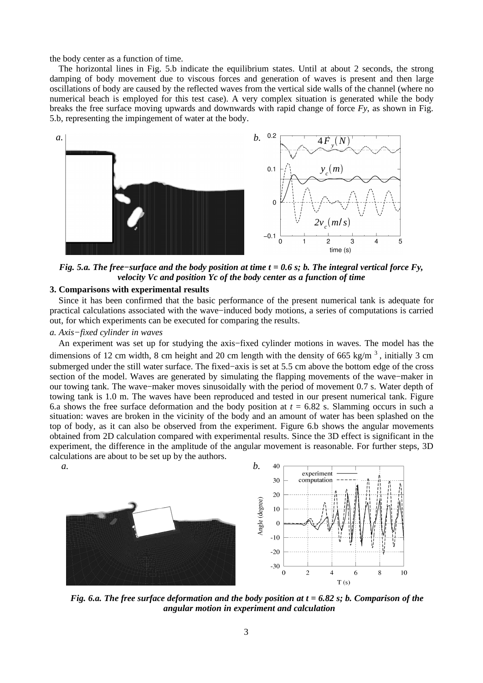the body center as a function of time.

The horizontal lines in Fig. 5.b indicate the equilibrium states. Until at about 2 seconds, the strong damping of body movement due to viscous forces and generation of waves is present and then large oscillations of body are caused by the reflected waves from the vertical side walls of the channel (where no numerical beach is employed for this test case). A very complex situation is generated while the body breaks the free surface moving upwards and downwards with rapid change of force *Fy*, as shown in Fig. 5.b, representing the impingement of water at the body.



Fig. 5.a. The free-surface and the body position at time  $t = 0.6$  s; b. The integral vertical force Fy, *velocity Vc and position Yc of the body center as a function of time*

#### **3. Comparisons with experimental results**

Since it has been confirmed that the basic performance of the present numerical tank is adequate for practical calculations associated with the wave−induced body motions, a series of computations is carried out, for which experiments can be executed for comparing the results.

# *a. Axis−fixed cylinder in waves*

An experiment was set up for studying the axis−fixed cylinder motions in waves. The model has the dimensions of 12 cm width, 8 cm height and 20 cm length with the density of 665 kg/m<sup>3</sup>, initially 3 cm submerged under the still water surface. The fixed−axis is set at 5.5 cm above the bottom edge of the cross section of the model. Waves are generated by simulating the flapping movements of the wave−maker in our towing tank. The wave−maker moves sinusoidally with the period of movement 0.7 s. Water depth of towing tank is 1.0 m. The waves have been reproduced and tested in our present numerical tank. Figure 6.a shows the free surface deformation and the body position at  $t = 6.82$  s. Slamming occurs in such a situation: waves are broken in the vicinity of the body and an amount of water has been splashed on the top of body, as it can also be observed from the experiment. Figure 6.b shows the angular movements obtained from 2D calculation compared with experimental results. Since the 3D effect is significant in the experiment, the difference in the amplitude of the angular movement is reasonable. For further steps, 3D calculations are about to be set up by the authors.



Fig. 6.a. The free surface deformation and the body position at  $t = 6.82$  s; b. Comparison of the *angular motion in experiment and calculation*